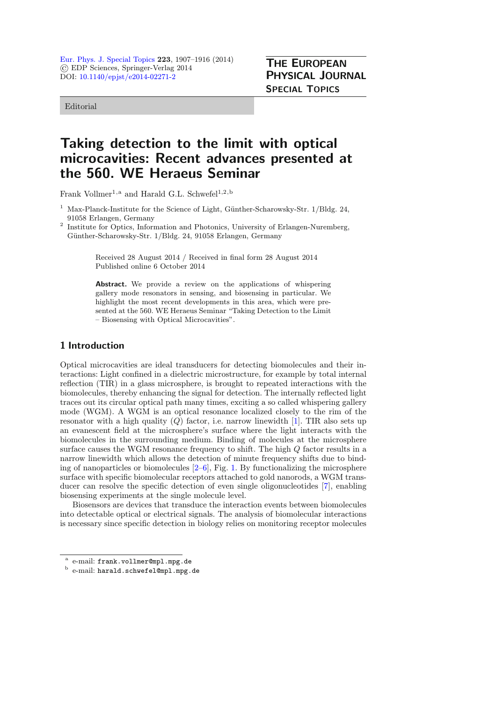[Eur. Phys. J. Special Topics](http://www.epj.org/) 223, 1907–1916 (2014) © EDP Sciences, Springer-Verlag 2014 DOI: [10.1140/epjst/e2014-02271-2](http://dx.doi.org/10.1140/epjst/e2014-02271-2)

Editorial

# Taking detection to the limit with optical microcavities: Recent advances presented at the 560. WE Heraeus Seminar

Frank Vollmer<sup>1,a</sup> and Harald G.L. Schwefel<sup>1,2,b</sup>

 $1$  Max-Planck-Institute for the Science of Light, Günther-Scharowsky-Str.  $1/B$ ldg. 24, 91058 Erlangen, Germany

<sup>2</sup> Institute for Optics, Information and Photonics, University of Erlangen-Nuremberg, Günther-Scharowsky-Str. 1/Bldg. 24, 91058 Erlangen, Germany

> Received 28 August 2014 / Received in final form 28 August 2014 Published online 6 October 2014

Abstract. We provide a review on the applications of whispering gallery mode resonators in sensing, and biosensing in particular. We highlight the most recent developments in this area, which were presented at the 560. WE Heraeus Seminar "Taking Detection to the Limit – Biosensing with Optical Microcavities".

## 1 Introduction

Optical microcavities are ideal transducers for detecting biomolecules and their interactions: Light confined in a dielectric microstructure, for example by total internal reflection (TIR) in a glass microsphere, is brought to repeated interactions with the biomolecules, thereby enhancing the signal for detection. The internally reflected light traces out its circular optical path many times, exciting a so called whispering gallery mode (WGM). A WGM is an optical resonance localized closely to the rim of the resonator with a high quality  $(Q)$  factor, i.e. narrow linewidth [\[1](#page-6-0)]. TIR also sets up an evanescent field at the microsphere's surface where the light interacts with the biomolecules in the surrounding medium. Binding of molecules at the microsphere surface causes the WGM resonance frequency to shift. The high Q factor results in a narrow linewidth which allows the detection of minute frequency shifts due to binding of nanoparticles or biomolecules  $[2-6]$  $[2-6]$ , Fig. [1.](#page-1-0) By functionalizing the microsphere surface with specific biomolecular receptors attached to gold nanorods, a WGM transducer can resolve the specific detection of even single oligonucleotides [\[7\]](#page-6-3), enabling biosensing experiments at the single molecule level.

Biosensors are devices that transduce the interaction events between biomolecules into detectable optical or electrical signals. The analysis of biomolecular interactions is necessary since specific detection in biology relies on monitoring receptor molecules

<sup>a</sup> e-mail: frank.vollmer@mpl.mpg.de

<sup>b</sup> e-mail: harald.schwefel@mpl.mpg.de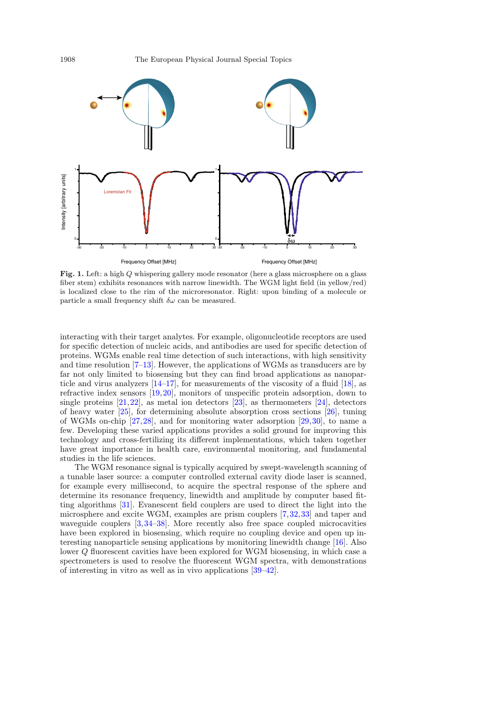<span id="page-1-0"></span>

Fig. 1. Left: a high Q whispering gallery mode resonator (here a glass microsphere on a glass fiber stem) exhibits resonances with narrow linewidth. The WGM light field (in yellow/red) is localized close to the rim of the microresonator. Right: upon binding of a molecule or particle a small frequency shift  $\delta \omega$  can be measured.

interacting with their target analytes. For example, oligonucleotide receptors are used for specific detection of nucleic acids, and antibodies are used for specific detection of proteins. WGMs enable real time detection of such interactions, with high sensitivity and time resolution [\[7](#page-6-3)[–13](#page-6-4)]. However, the applications of WGMs as transducers are by far not only limited to biosensing but they can find broad applications as nanoparticle and virus analyzers  $[14-17]$  $[14-17]$ , for measurements of the viscosity of a fluid  $[18]$ , as refractive index sensors [\[19,](#page-6-8)[20](#page-6-9)], monitors of unspecific protein adsorption, down to single proteins [\[21](#page-6-10)[,22](#page-7-0)], as metal ion detectors [\[23](#page-7-1)], as thermometers [\[24\]](#page-7-2), detectors of heavy water [\[25](#page-7-3)], for determining absolute absorption cross sections [\[26\]](#page-7-4), tuning of WGMs on-chip [\[27,](#page-7-5)[28\]](#page-7-6), and for monitoring water adsorption [\[29,](#page-7-7)[30](#page-7-8)], to name a few. Developing these varied applications provides a solid ground for improving this technology and cross-fertilizing its different implementations, which taken together have great importance in health care, environmental monitoring, and fundamental studies in the life sciences.

The WGM resonance signal is typically acquired by swept-wavelength scanning of a tunable laser source: a computer controlled external cavity diode laser is scanned, for example every millisecond, to acquire the spectral response of the sphere and determine its resonance frequency, linewidth and amplitude by computer based fitting algorithms [\[31](#page-7-9)]. Evanescent field couplers are used to direct the light into the microsphere and excite WGM, examples are prism couplers [\[7,](#page-6-3)[32,](#page-7-10)[33](#page-7-11)] and taper and waveguide couplers [\[3](#page-6-11),[34](#page-7-12)[–38\]](#page-7-13). More recently also free space coupled microcavities have been explored in biosensing, which require no coupling device and open up interesting nanoparticle sensing applications by monitoring linewidth change [\[16\]](#page-6-12). Also lower Q fluorescent cavities have been explored for WGM biosensing, in which case a spectrometers is used to resolve the fluorescent WGM spectra, with demonstrations of interesting in vitro as well as in vivo applications [\[39](#page-7-14)[–42\]](#page-7-15).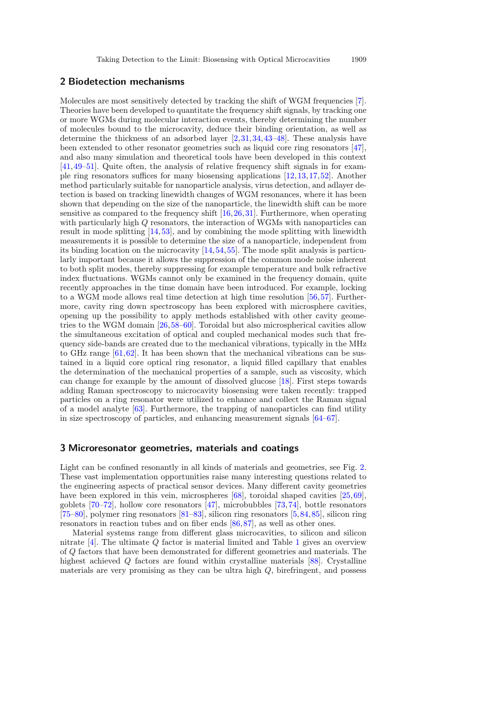#### 2 Biodetection mechanisms

Molecules are most sensitively detected by tracking the shift of WGM frequencies [\[7](#page-6-3)]. Theories have been developed to quantitate the frequency shift signals, by tracking one or more WGMs during molecular interaction events, thereby determining the number of molecules bound to the microcavity, deduce their binding orientation, as well as determine the thickness of an adsorbed layer [\[2](#page-6-1)[,31](#page-7-9),[34,](#page-7-12)[43](#page-7-16)[–48\]](#page-7-17). These analysis have been extended to other resonator geometries such as liquid core ring resonators [\[47](#page-7-18)], and also many simulation and theoretical tools have been developed in this context [\[41,](#page-7-19)[49](#page-7-20)[–51](#page-7-21)]. Quite often, the analysis of relative frequency shift signals in for example ring resonators suffices for many biosensing applications [\[12](#page-6-13)[,13](#page-6-4),[17](#page-6-6)[,52](#page-7-22)]. Another method particularly suitable for nanoparticle analysis, virus detection, and adlayer detection is based on tracking linewidth changes of WGM resonances, where it has been shown that depending on the size of the nanoparticle, the linewidth shift can be more sensitive as compared to the frequency shift [\[16](#page-6-12)[,26](#page-7-4)[,31](#page-7-9)]. Furthermore, when operating with particularly high Q resonators, the interaction of WGMs with nanoparticles can result in mode splitting [\[14](#page-6-5),[53\]](#page-7-23), and by combining the mode splitting with linewidth measurements it is possible to determine the size of a nanoparticle, independent from its binding location on the microcavity [\[14,](#page-6-5)[54](#page-7-24)[,55](#page-7-25)]. The mode split analysis is particularly important because it allows the suppression of the common mode noise inherent to both split modes, thereby suppressing for example temperature and bulk refractive index fluctuations. WGMs cannot only be examined in the frequency domain, quite recently approaches in the time domain have been introduced. For example, locking to a WGM mode allows real time detection at high time resolution [\[56,](#page-7-26)[57\]](#page-7-27). Furthermore, cavity ring down spectroscopy has been explored with microsphere cavities, opening up the possibility to apply methods established with other cavity geometries to the WGM domain [\[26](#page-7-4)[,58](#page-7-28)[–60\]](#page-7-29). Toroidal but also microspherical cavities allow the simultaneous excitation of optical and coupled mechanical modes such that frequency side-bands are created due to the mechanical vibrations, typically in the MHz to GHz range  $[61,62]$  $[61,62]$  $[61,62]$ . It has been shown that the mechanical vibrations can be sustained in a liquid core optical ring resonator, a liquid filled capillary that enables the determination of the mechanical properties of a sample, such as viscosity, which can change for example by the amount of dissolved glucose [\[18](#page-6-7)]. First steps towards adding Raman spectroscopy to microcavity biosensing were taken recently: trapped particles on a ring resonator were utilized to enhance and collect the Raman signal of a model analyte [\[63](#page-8-2)]. Furthermore, the trapping of nanoparticles can find utility in size spectroscopy of particles, and enhancing measurement signals [\[64](#page-8-3)[–67](#page-8-4)].

#### 3 Microresonator geometries, materials and coatings

Light can be confined resonantly in all kinds of materials and geometries, see Fig. [2.](#page-3-0) These vast implementation opportunities raise many interesting questions related to the engineering aspects of practical sensor devices. Many different cavity geometries have been explored in this vein, microspheres [\[68](#page-8-5)], toroidal shaped cavities [\[25](#page-7-3)[,69](#page-8-6)], goblets [\[70](#page-8-7)[–72](#page-8-8)], hollow core resonators [\[47](#page-7-18)], microbubbles [\[73](#page-8-9)[,74\]](#page-8-10), bottle resonators [\[75](#page-8-11)[–80\]](#page-8-12), polymer ring resonators [\[81](#page-8-13)[–83](#page-8-14)], silicon ring resonators [\[5](#page-6-14)[,84,](#page-8-15)[85\]](#page-8-16), silicon ring resonators in reaction tubes and on fiber ends [\[86](#page-8-17),[87\]](#page-8-18), as well as other ones.

Material systems range from different glass microcavities, to silicon and silicon nitrate  $[4]$ . The ultimate Q factor is material limited and Table [1](#page-3-1) gives an overview of Q factors that have been demonstrated for different geometries and materials. The highest achieved Q factors are found within crystalline materials [\[88](#page-8-19)]. Crystalline materials are very promising as they can be ultra high Q, birefringent, and possess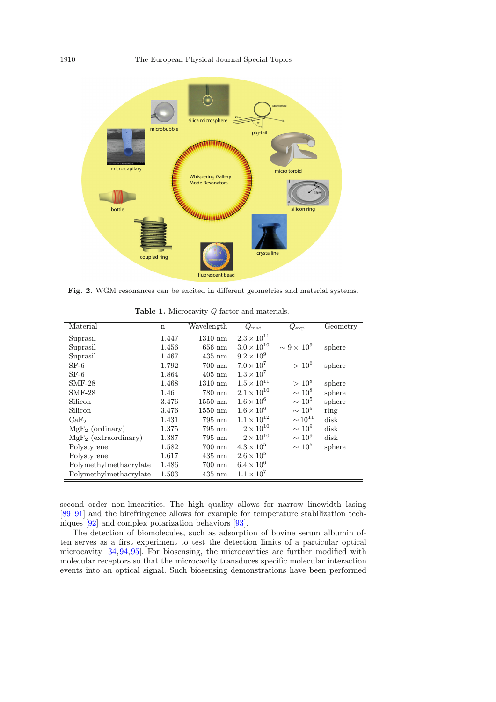<span id="page-3-0"></span>

Fig. 2. WGM resonances can be excited in different geometries and material systems.

| Material                | $\mathbf n$ | Wavelength        | $Q_{\rm mat}$        | $Q_{\rm exp}$                     | Geometry |
|-------------------------|-------------|-------------------|----------------------|-----------------------------------|----------|
| Suprasil                | 1.447       | $1310 \text{ nm}$ | $2.3\times10^{11}$   |                                   |          |
| Suprasil                | 1.456       | $656$ nm          | $3.0 \times 10^{10}$ | $\sim$ 9 $\times$ 10 <sup>9</sup> | sphere   |
| Suprasil                | 1.467       | $435 \text{ nm}$  | $9.2 \times 10^{9}$  |                                   |          |
| $SF-6$                  | 1.792       | $700 \text{ nm}$  | $7.0 \times 10^7$    | $> 10^6$                          | sphere   |
| $SF-6$                  | 1.864       | $405$ nm          | $1.3 \times 10^7$    |                                   |          |
| $SMF-28$                | 1.468       | $1310 \text{ nm}$ | $1.5 \times 10^{11}$ | $> 10^8$                          | sphere   |
| $SMF-28$                | 1.46        | 780 nm            | $2.1 \times 10^{10}$ | $\sim 10^8$                       | sphere   |
| Silicon                 | 3.476       | $1550$ nm         | $1.6 \times 10^{6}$  | $\sim 10^5$                       | sphere   |
| Silicon                 | 3.476       | $1550$ nm         | $1.6 \times 10^6$    | $\sim 10^5$                       | ring     |
| CaF <sub>2</sub>        | 1.431       | $795 \text{ nm}$  | $1.1 \times 10^{12}$ | $\sim 10^{11}$                    | disk     |
| $MgF_2$ (ordinary)      | 1.375       | $795 \text{ nm}$  | $2 \times 10^{10}$   | $\sim 10^9$                       | disk     |
| $MgF_2$ (extraordinary) | 1.387       | $795 \text{ nm}$  | $2 \times 10^{10}$   | $\sim 10^9$                       | disk     |
| Polystyrene             | 1.582       | $700 \text{ nm}$  | $4.3 \times 10^{5}$  | $\sim 10^5$                       | sphere   |
| Polystyrene             | 1.617       | $435 \text{ nm}$  | $2.6 \times 10^5$    |                                   |          |
| Polymethylmethacrylate  | 1.486       | $700~\mathrm{nm}$ | $6.4 \times 10^{6}$  |                                   |          |
| Polymethylmethacrylate  | 1.503       | $435$ nm          | $1.1 \times 10^7$    |                                   |          |

<span id="page-3-1"></span>Table 1. Microcavity Q factor and materials.

second order non-linearities. The high quality allows for narrow linewidth lasing [\[89](#page-8-20)[–91\]](#page-8-21) and the birefringence allows for example for temperature stabilization techniques [\[92\]](#page-9-0) and complex polarization behaviors [\[93](#page-9-1)].

The detection of biomolecules, such as adsorption of bovine serum albumin often serves as a first experiment to test the detection limits of a particular optical microcavity [\[34](#page-7-12)[,94](#page-9-2)[,95](#page-9-3)]. For biosensing, the microcavities are further modified with molecular receptors so that the microcavity transduces specific molecular interaction events into an optical signal. Such biosensing demonstrations have been performed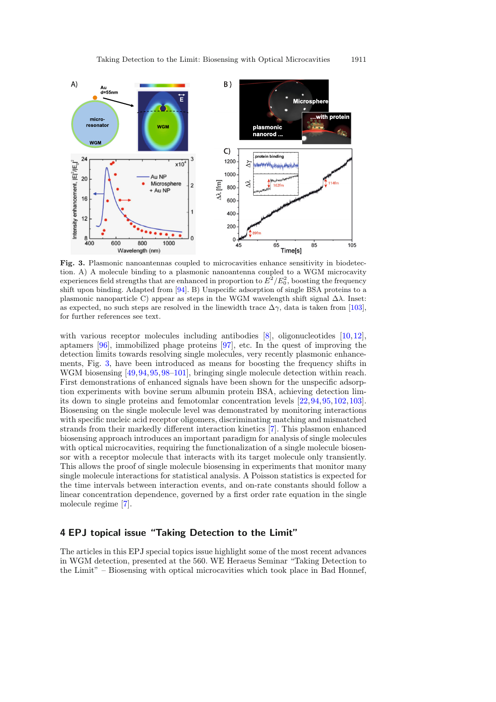<span id="page-4-0"></span>

Fig. 3. Plasmonic nanoantennas coupled to microcavities enhance sensitivity in biodetection. A) A molecule binding to a plasmonic nanoantenna coupled to a WGM microcavity experiences field strengths that are enhanced in proportion to  $E^2/E_0^2$ , boosting the frequency shift upon binding. Adapted from [\[94\]](#page-9-2). B) Unspecific adsorption of single BSA proteins to a plasmonic nanoparticle C) appear as steps in the WGM wavelength shift signal  $\Delta\lambda$ . Inset: as expected, no such steps are resolved in the linewidth trace  $\Delta \gamma$ , data is taken from [\[103\]](#page-9-4), for further references see text.

with various receptor molecules including antibodies  $[8]$  $[8]$ , oligonucleotides  $[10,12]$  $[10,12]$  $[10,12]$ , aptamers [\[96\]](#page-9-5), immobilized phage proteins [\[97](#page-9-6)], etc. In the quest of improving the detection limits towards resolving single molecules, very recently plasmonic enhancements, Fig. [3,](#page-4-0) have been introduced as means for boosting the frequency shifts in WGM biosensing [\[49](#page-7-20)[,94](#page-9-2),[95,](#page-9-3)[98](#page-9-7)[–101\]](#page-9-8), bringing single molecule detection within reach. First demonstrations of enhanced signals have been shown for the unspecific adsorption experiments with bovine serum albumin protein BSA, achieving detection limits down to single proteins and femotomlar concentration levels [\[22](#page-7-0)[,94,](#page-9-2)[95](#page-9-3)[,102](#page-9-9)[,103](#page-9-4)]. Biosensing on the single molecule level was demonstrated by monitoring interactions with specific nucleic acid receptor oligomers, discriminating matching and mismatched strands from their markedly different interaction kinetics [\[7](#page-6-3)]. This plasmon enhanced biosensing approach introduces an important paradigm for analysis of single molecules with optical microcavities, requiring the functionalization of a single molecule biosensor with a receptor molecule that interacts with its target molecule only transiently. This allows the proof of single molecule biosensing in experiments that monitor many single molecule interactions for statistical analysis. A Poisson statistics is expected for the time intervals between interaction events, and on-rate constants should follow a linear concentration dependence, governed by a first order rate equation in the single molecule regime [\[7\]](#page-6-3).

## 4 EPJ topical issue "Taking Detection to the Limit"

The articles in this EPJ special topics issue highlight some of the most recent advances in WGM detection, presented at the 560. WE Heraeus Seminar "Taking Detection to the Limit" – Biosensing with optical microcavities which took place in Bad Honnef,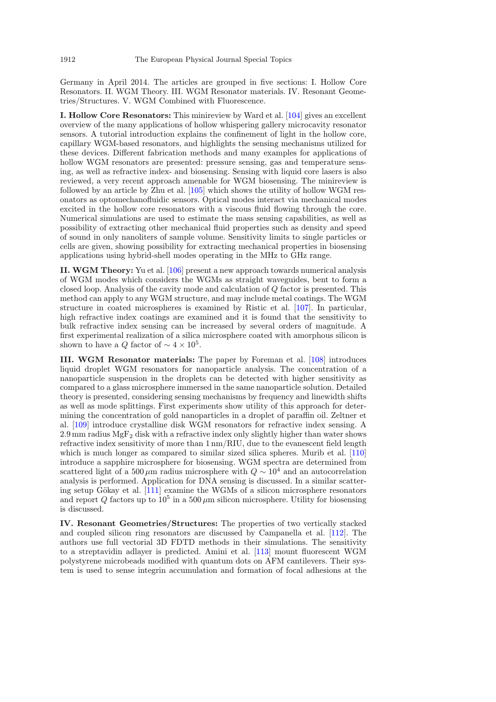Germany in April 2014. The articles are grouped in five sections: I. Hollow Core Resonators. II. WGM Theory. III. WGM Resonator materials. IV. Resonant Geometries/Structures. V. WGM Combined with Fluorescence.

I. Hollow Core Resonators: This minireview by Ward et al. [\[104](#page-9-10)] gives an excellent overview of the many applications of hollow whispering gallery microcavity resonator sensors. A tutorial introduction explains the confinement of light in the hollow core, capillary WGM-based resonators, and highlights the sensing mechanisms utilized for these devices. Different fabrication methods and many examples for applications of hollow WGM resonators are presented: pressure sensing, gas and temperature sensing, as well as refractive index- and biosensing. Sensing with liquid core lasers is also reviewed, a very recent approach amenable for WGM biosensing. The minireview is followed by an article by Zhu et al. [\[105](#page-9-11)] which shows the utility of hollow WGM resonators as optomechanofluidic sensors. Optical modes interact via mechanical modes excited in the hollow core resonators with a viscous fluid flowing through the core. Numerical simulations are used to estimate the mass sensing capabilities, as well as possibility of extracting other mechanical fluid properties such as density and speed of sound in only nanoliters of sample volume. Sensitivity limits to single particles or cells are given, showing possibility for extracting mechanical properties in biosensing applications using hybrid-shell modes operating in the MHz to GHz range.

II. WGM Theory: Yu et al. [\[106\]](#page-9-12) present a new approach towards numerical analysis of WGM modes which considers the WGMs as straight waveguides, bent to form a closed loop. Analysis of the cavity mode and calculation of Q factor is presented. This method can apply to any WGM structure, and may include metal coatings. The WGM structure in coated microspheres is examined by Ristic et al. [\[107](#page-9-13)]. In particular, high refractive index coatings are examined and it is found that the sensitivity to bulk refractive index sensing can be increased by several orders of magnitude. A first experimental realization of a silica microsphere coated with amorphous silicon is shown to have a Q factor of  $\sim 4 \times 10^5$ .

III. WGM Resonator materials: The paper by Foreman et al. [\[108](#page-9-14)] introduces liquid droplet WGM resonators for nanoparticle analysis. The concentration of a nanoparticle suspension in the droplets can be detected with higher sensitivity as compared to a glass microsphere immersed in the same nanoparticle solution. Detailed theory is presented, considering sensing mechanisms by frequency and linewidth shifts as well as mode splittings. First experiments show utility of this approach for determining the concentration of gold nanoparticles in a droplet of paraffin oil. Zeltner et al. [\[109](#page-9-15)] introduce crystalline disk WGM resonators for refractive index sensing. A 2.9 mm radius  $MgF_2$  disk with a refractive index only slightly higher than water shows refractive index sensitivity of more than 1 nm/RIU, due to the evanescent field length which is much longer as compared to similar sized silica spheres. Murib et al. [\[110\]](#page-9-16) introduce a sapphire microsphere for biosensing. WGM spectra are determined from scattered light of a 500  $\mu \mathrm{m}$  radius microsphere with  $Q \sim 10^4$  and an autocorrelation analysis is performed. Application for DNA sensing is discussed. In a similar scatter-ing setup Gökay et al. [\[111\]](#page-9-17) examine the WGMs of a silicon microsphere resonators and report  $Q$  factors up to  $10^5$  in a 500  $\mu$ m silicon microsphere. Utility for biosensing is discussed.

IV. Resonant Geometries/Structures: The properties of two vertically stacked and coupled silicon ring resonators are discussed by Campanella et al. [\[112](#page-9-18)]. The authors use full vectorial 3D FDTD methods in their simulations. The sensitivity to a streptavidin adlayer is predicted. Amini et al. [\[113](#page-9-19)] mount fluorescent WGM polystyrene microbeads modified with quantum dots on AFM cantilevers. Their system is used to sense integrin accumulation and formation of focal adhesions at the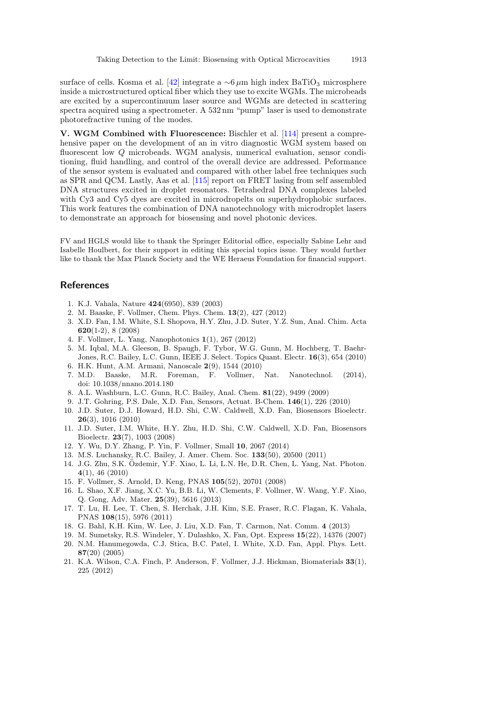surface of cells. Kosma et al. [\[42\]](#page-7-15) integrate a  $\sim 6 \mu m$  high index BaTiO<sub>3</sub> microsphere inside a microstructured optical fiber which they use to excite WGMs. The microbeads are excited by a supercontinuum laser source and WGMs are detected in scattering spectra acquired using a spectrometer. A 532 nm "pump" laser is used to demonstrate photorefractive tuning of the modes.

V. WGM Combined with Fluorescence: Bischler et al. [\[114\]](#page-9-20) present a comprehensive paper on the development of an in vitro diagnostic WGM system based on fluorescent low Q microbeads. WGM analysis, numerical evaluation, sensor conditioning, fluid handling, and control of the overall device are addressed. Peformance of the sensor system is evaluated and compared with other label free techniques such as SPR and QCM. Lastly, Aas et al. [\[115](#page-9-21)] report on FRET lasing from self assembled DNA structures excited in droplet resonators. Tetrahedral DNA complexes labeled with Cy3 and Cy<sub>5</sub> dyes are excited in microdropelts on superhydrophobic surfaces. This work features the combination of DNA nanotechnology with microdroplet lasers to demonstrate an approach for biosensing and novel photonic devices.

FV and HGLS would like to thank the Springer Editorial office, especially Sabine Lehr and Isabelle Houlbert, for their support in editing this special topics issue. They would further like to thank the Max Planck Society and the WE Heraeus Foundation for financial support.

### <span id="page-6-1"></span><span id="page-6-0"></span>References

- 1. K.J. Vahala, Nature 424(6950), 839 (2003)
- 2. M. Baaske, F. Vollmer, Chem. Phys. Chem. 13(2), 427 (2012)
- <span id="page-6-11"></span>3. X.D. Fan, I.M. White, S.I. Shopova, H.Y. Zhu, J.D. Suter, Y.Z. Sun, Anal. Chim. Acta 620(1-2), 8 (2008)
- <span id="page-6-15"></span>4. F. Vollmer, L. Yang, Nanophotonics 1(1), 267 (2012)
- <span id="page-6-14"></span>5. M. Iqbal, M.A. Gleeson, B. Spaugh, F. Tybor, W.G. Gunn, M. Hochberg, T. Baehr-Jones, R.C. Bailey, L.C. Gunn, IEEE J. Select. Topics Quant. Electr. 16(3), 654 (2010)
- <span id="page-6-2"></span>6. H.K. Hunt, A.M. Armani, Nanoscale 2(9), 1544 (2010)
- <span id="page-6-3"></span>7. M.D. Baaske, M.R. Foreman, F. Vollmer, Nat. Nanotechnol. (2014), doi: 10.1038/nnano.2014.180
- <span id="page-6-16"></span>8. A.L. Washburn, L.C. Gunn, R.C. Bailey, Anal. Chem. 81(22), 9499 (2009)
- 9. J.T. Gohring, P.S. Dale, X.D. Fan, Sensors, Actuat. B-Chem. 146(1), 226 (2010)
- <span id="page-6-17"></span>10. J.D. Suter, D.J. Howard, H.D. Shi, C.W. Caldwell, X.D. Fan, Biosensors Bioelectr. 26(3), 1016 (2010)
- 11. J.D. Suter, I.M. White, H.Y. Zhu, H.D. Shi, C.W. Caldwell, X.D. Fan, Biosensors Bioelectr. 23(7), 1003 (2008)
- <span id="page-6-13"></span>12. Y. Wu, D.Y. Zhang, P. Yin, F. Vollmer, Small 10, 2067 (2014)
- <span id="page-6-4"></span>13. M.S. Luchansky, R.C. Bailey, J. Amer. Chem. Soc. 133(50), 20500 (2011)
- <span id="page-6-5"></span>14. J.G. Zhu, S.K. Ozdemir, Y.F. Xiao, L. Li, L.N. He, D.R. Chen, L. Yang, Nat. Photon. ¨ 4(1), 46 (2010)
- 15. F. Vollmer, S. Arnold, D. Keng, PNAS 105(52), 20701 (2008)
- <span id="page-6-12"></span>16. L. Shao, X.F. Jiang, X.C. Yu, B.B. Li, W. Clements, F. Vollmer, W. Wang, Y.F. Xiao, Q. Gong, Adv. Mater. 25(39), 5616 (2013)
- <span id="page-6-6"></span>17. T. Lu, H. Lee, T. Chen, S. Herchak, J.H. Kim, S.E. Fraser, R.C. Flagan, K. Vahala, PNAS 108(15), 5976 (2011)
- <span id="page-6-7"></span>18. G. Bahl, K.H. Kim, W. Lee, J. Liu, X.D. Fan, T. Carmon, Nat. Comm. 4 (2013)
- <span id="page-6-8"></span>19. M. Sumetsky, R.S. Windeler, Y. Dulashko, X. Fan, Opt. Express 15(22), 14376 (2007)
- <span id="page-6-9"></span>20. N.M. Hanumegowda, C.J. Stica, B.C. Patel, I. White, X.D. Fan, Appl. Phys. Lett. 87(20) (2005)
- <span id="page-6-10"></span>21. K.A. Wilson, C.A. Finch, P. Anderson, F. Vollmer, J.J. Hickman, Biomaterials 33(1), 225 (2012)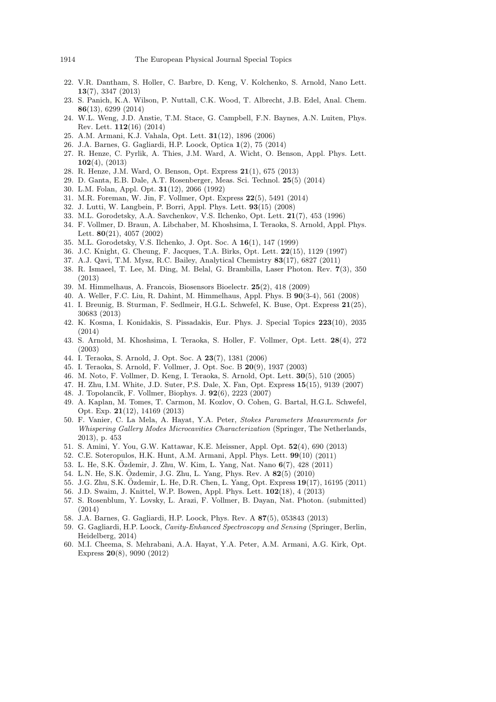- <span id="page-7-0"></span>22. V.R. Dantham, S. Holler, C. Barbre, D. Keng, V. Kolchenko, S. Arnold, Nano Lett. 13(7), 3347 (2013)
- <span id="page-7-1"></span>23. S. Panich, K.A. Wilson, P. Nuttall, C.K. Wood, T. Albrecht, J.B. Edel, Anal. Chem. 86(13), 6299 (2014)
- <span id="page-7-2"></span>24. W.L. Weng, J.D. Anstie, T.M. Stace, G. Campbell, F.N. Baynes, A.N. Luiten, Phys. Rev. Lett. 112(16) (2014)
- <span id="page-7-3"></span>25. A.M. Armani, K.J. Vahala, Opt. Lett. 31(12), 1896 (2006)
- <span id="page-7-4"></span>26. J.A. Barnes, G. Gagliardi, H.P. Loock, Optica 1(2), 75 (2014)
- <span id="page-7-5"></span>27. R. Henze, C. Pyrlik, A. Thies, J.M. Ward, A. Wicht, O. Benson, Appl. Phys. Lett. 102(4), (2013)
- <span id="page-7-6"></span>28. R. Henze, J.M. Ward, O. Benson, Opt. Express 21(1), 675 (2013)
- <span id="page-7-7"></span>29. D. Ganta, E.B. Dale, A.T. Rosenberger, Meas. Sci. Technol. 25(5) (2014)
- <span id="page-7-8"></span>30. L.M. Folan, Appl. Opt. 31(12), 2066 (1992)
- <span id="page-7-9"></span>31. M.R. Foreman, W. Jin, F. Vollmer, Opt. Express 22(5), 5491 (2014)
- <span id="page-7-10"></span>32. J. Lutti, W. Langbein, P. Borri, Appl. Phys. Lett. 93(15) (2008)
- <span id="page-7-11"></span>33. M.L. Gorodetsky, A.A. Savchenkov, V.S. Ilchenko, Opt. Lett. 21(7), 453 (1996)
- <span id="page-7-12"></span>34. F. Vollmer, D. Braun, A. Libchaber, M. Khoshsima, I. Teraoka, S. Arnold, Appl. Phys. Lett. 80(21), 4057 (2002)
- 35. M.L. Gorodetsky, V.S. Ilchenko, J. Opt. Soc. A 16(1), 147 (1999)
- 36. J.C. Knight, G. Cheung, F. Jacques, T.A. Birks, Opt. Lett. 22(15), 1129 (1997)
- 37. A.J. Qavi, T.M. Mysz, R.C. Bailey, Analytical Chemistry 83(17), 6827 (2011)
- <span id="page-7-13"></span>38. R. Ismaeel, T. Lee, M. Ding, M. Belal, G. Brambilla, Laser Photon. Rev. 7(3), 350 (2013)
- <span id="page-7-14"></span>39. M. Himmelhaus, A. Francois, Biosensors Bioelectr. 25(2), 418 (2009)
- <span id="page-7-19"></span>40. A. Weller, F.C. Liu, R. Dahint, M. Himmelhaus, Appl. Phys. B 90(3-4), 561 (2008) 41. I. Breunig, B. Sturman, F. Sedlmeir, H.G.L. Schwefel, K. Buse, Opt. Express 21(25),
- 30683 (2013) 42. K. Kosma, I. Konidakis, S. Pissadakis, Eur. Phys. J. Special Topics 223(10), 2035
- <span id="page-7-15"></span>(2014) 43. S. Arnold, M. Khoshsima, I. Teraoka, S. Holler, F. Vollmer, Opt. Lett. 28(4), 272
- <span id="page-7-16"></span>(2003)
- 44. I. Teraoka, S. Arnold, J. Opt. Soc. A 23(7), 1381 (2006)
- 45. I. Teraoka, S. Arnold, F. Vollmer, J. Opt. Soc. B 20(9), 1937 (2003)
- 46. M. Noto, F. Vollmer, D. Keng, I. Teraoka, S. Arnold, Opt. Lett. 30(5), 510 (2005)
- <span id="page-7-18"></span>47. H. Zhu, I.M. White, J.D. Suter, P.S. Dale, X. Fan, Opt. Express 15(15), 9139 (2007)
- <span id="page-7-17"></span>48. J. Topolancik, F. Vollmer, Biophys. J. 92(6), 2223 (2007)
- <span id="page-7-20"></span>49. A. Kaplan, M. Tomes, T. Carmon, M. Kozlov, O. Cohen, G. Bartal, H.G.L. Schwefel, Opt. Exp. 21(12), 14169 (2013)
- 50. F. Vanier, C. La Mela, A. Hayat, Y.A. Peter, Stokes Parameters Measurements for Whispering Gallery Modes Microcavities Characterization (Springer, The Netherlands, 2013), p. 453
- <span id="page-7-21"></span>51. S. Amini, Y. You, G.W. Kattawar, K.E. Meissner, Appl. Opt. 52(4), 690 (2013)
- <span id="page-7-22"></span>52. C.E. Soteropulos, H.K. Hunt, A.M. Armani, Appl. Phys. Lett. <sup>99</sup>(10) (2011)
- <span id="page-7-23"></span>53. L. He, S.K. Özdemir, J. Zhu, W. Kim, L. Yang, Nat. Nano  $6(7)$ , 428 (2011)
- <span id="page-7-24"></span>54. L.N. He, S.K. Özdemir, J.G. Zhu, L. Yang, Phys. Rev. A  $82(5)$  (2010)
- 55. J.G. Zhu, S.K. Özdemir, L. He, D.R. Chen, L. Yang, Opt. Express 19(17), 16195 (2011)
- <span id="page-7-26"></span><span id="page-7-25"></span>56. J.D. Swaim, J. Knittel, W.P. Bowen, Appl. Phys. Lett. 102(18), 4 (2013)
- <span id="page-7-27"></span>57. S. Rosenblum, Y. Lovsky, L. Arazi, F. Vollmer, B. Dayan, Nat. Photon. (submitted) (2014)
- <span id="page-7-28"></span>58. J.A. Barnes, G. Gagliardi, H.P. Loock, Phys. Rev. A 87(5), 053843 (2013)
- 59. G. Gagliardi, H.P. Loock, Cavity-Enhanced Spectroscopy and Sensing (Springer, Berlin, Heidelberg, 2014)
- <span id="page-7-29"></span>60. M.I. Cheema, S. Mehrabani, A.A. Hayat, Y.A. Peter, A.M. Armani, A.G. Kirk, Opt. Express 20(8), 9090 (2012)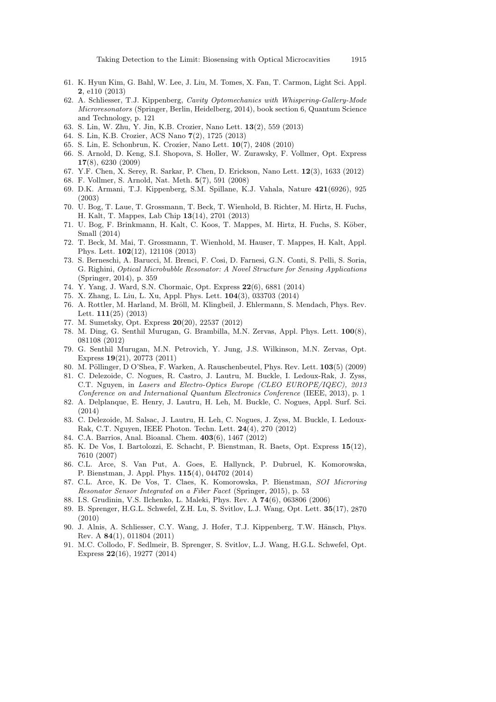- <span id="page-8-0"></span>61. K. Hyun Kim, G. Bahl, W. Lee, J. Liu, M. Tomes, X. Fan, T. Carmon, Light Sci. Appl. 2, e110 (2013)
- <span id="page-8-1"></span>62. A. Schliesser, T.J. Kippenberg, Cavity Optomechanics with Whispering-Gallery-Mode Microresonators (Springer, Berlin, Heidelberg, 2014), book section 6, Quantum Science and Technology, p. 121
- <span id="page-8-2"></span>63. S. Lin, W. Zhu, Y. Jin, K.B. Crozier, Nano Lett. 13(2), 559 (2013)
- <span id="page-8-3"></span>64. S. Lin, K.B. Crozier, ACS Nano 7(2), 1725 (2013)
- 65. S. Lin, E. Schonbrun, K. Crozier, Nano Lett. 10(7), 2408 (2010)
- 66. S. Arnold, D. Keng, S.I. Shopova, S. Holler, W. Zurawsky, F. Vollmer, Opt. Express 17(8), 6230 (2009)
- <span id="page-8-4"></span>67. Y.F. Chen, X. Serey, R. Sarkar, P. Chen, D. Erickson, Nano Lett. 12(3), 1633 (2012)
- <span id="page-8-5"></span>68. F. Vollmer, S. Arnold, Nat. Meth. 5(7), 591 (2008)
- <span id="page-8-6"></span>69. D.K. Armani, T.J. Kippenberg, S.M. Spillane, K.J. Vahala, Nature 421(6926), 925 (2003)
- <span id="page-8-7"></span>70. U. Bog, T. Laue, T. Grossmann, T. Beck, T. Wienhold, B. Richter, M. Hirtz, H. Fuchs, H. Kalt, T. Mappes, Lab Chip 13(14), 2701 (2013)
- 71. U. Bog, F. Brinkmann, H. Kalt, C. Koos, T. Mappes, M. Hirtz, H. Fuchs, S. Köber, Small (2014)
- <span id="page-8-8"></span>72. T. Beck, M. Mai, T. Grossmann, T. Wienhold, M. Hauser, T. Mappes, H. Kalt, Appl. Phys. Lett. 102(12), 121108 (2013)
- <span id="page-8-9"></span>73. S. Berneschi, A. Barucci, M. Brenci, F. Cosi, D. Farnesi, G.N. Conti, S. Pelli, S. Soria, G. Righini, Optical Microbubble Resonator: A Novel Structure for Sensing Applications (Springer, 2014), p. 359
- <span id="page-8-10"></span>74. Y. Yang, J. Ward, S.N. Chormaic, Opt. Express 22(6), 6881 (2014)
- <span id="page-8-11"></span>75. X. Zhang, L. Liu, L. Xu, Appl. Phys. Lett. 104(3), 033703 (2014)
- 76. A. Rottler, M. Harland, M. Bröll, M. Klingbeil, J. Ehlermann, S. Mendach, Phys. Rev. Lett. 111(25) (2013)
- 77. M. Sumetsky, Opt. Express 20(20), 22537 (2012)
- 78. M. Ding, G. Senthil Murugan, G. Brambilla, M.N. Zervas, Appl. Phys. Lett. 100(8), 081108 (2012)
- 79. G. Senthil Murugan, M.N. Petrovich, Y. Jung, J.S. Wilkinson, M.N. Zervas, Opt. Express 19(21), 20773 (2011)
- <span id="page-8-12"></span>80. M. Pöllinger, D O'Shea, F. Warken, A. Rauschenbeutel, Phys. Rev. Lett.  $103(5)$  (2009)
- <span id="page-8-13"></span>81. C. Delezoide, C. Nogues, R. Castro, J. Lautru, M. Buckle, I. Ledoux-Rak, J. Zyss, C.T. Nguyen, in Lasers and Electro-Optics Europe (CLEO EUROPE/IQEC), 2013 Conference on and International Quantum Electronics Conference (IEEE, 2013), p. 1
- 82. A. Delplanque, E. Henry, J. Lautru, H. Leh, M. Buckle, C. Nogues, Appl. Surf. Sci. (2014)
- <span id="page-8-14"></span>83. C. Delezoide, M. Salsac, J. Lautru, H. Leh, C. Nogues, J. Zyss, M. Buckle, I. Ledoux-Rak, C.T. Nguyen, IEEE Photon. Techn. Lett. 24(4), 270 (2012)
- <span id="page-8-15"></span>84. C.A. Barrios, Anal. Bioanal. Chem. 403(6), 1467 (2012)
- <span id="page-8-16"></span>85. K. De Vos, I. Bartolozzi, E. Schacht, P. Bienstman, R. Baets, Opt. Express 15(12), 7610 (2007)
- <span id="page-8-17"></span>86. C.L. Arce, S. Van Put, A. Goes, E. Hallynck, P. Dubruel, K. Komorowska, P. Bienstman, J. Appl. Phys. 115(4), 044702 (2014)
- <span id="page-8-18"></span>87. C.L. Arce, K. De Vos, T. Claes, K. Komorowska, P. Bienstman, SOI Microring Resonator Sensor Integrated on a Fiber Facet (Springer, 2015), p. 53
- <span id="page-8-19"></span>88. I.S. Grudinin, V.S. Ilchenko, L. Maleki, Phys. Rev. A 74(6), 063806 (2006)
- <span id="page-8-20"></span>89. B. Sprenger, H.G.L. Schwefel, Z.H. Lu, S. Svitlov, L.J. Wang, Opt. Lett. <sup>35</sup>(17), <sup>2870</sup> (2010)
- 90. J. Alnis, A. Schliesser, C.Y. Wang, J. Hofer, T.J. Kippenberg, T.W. Hänsch, Phys. Rev. A 84(1), 011804 (2011)
- <span id="page-8-21"></span>91. M.C. Collodo, F. Sedlmeir, B. Sprenger, S. Svitlov, L.J. Wang, H.G.L. Schwefel, Opt. Express 22(16), 19277 (2014)